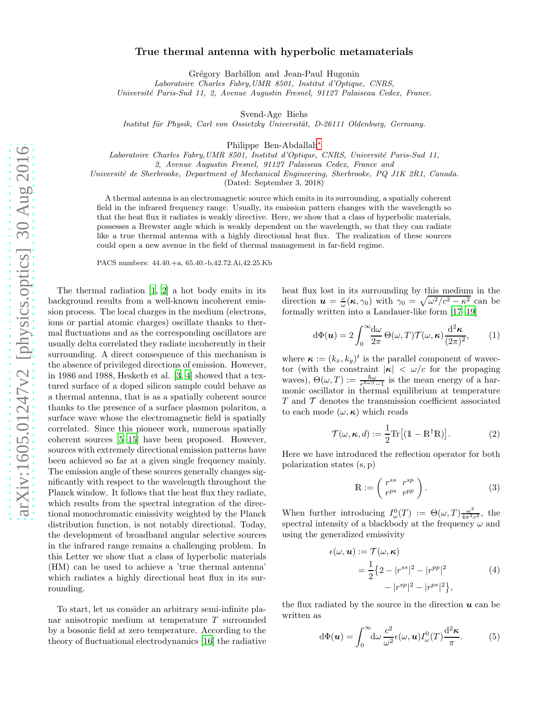## True thermal antenna with hyperbolic metamaterials

Grégory Barbillon and Jean-Paul Hugonin

Laboratoire Charles Fabry,UMR 8501, Institut d'Optique, CNRS,

Universit´e Paris-Sud 11, 2, Avenue Augustin Fresnel, 91127 Palaiseau Cedex, France.

Svend-Age Biehs

Institut für Physik, Carl von Ossietzky Universität, D-26111 Oldenburg, Germany.

Philippe Ben-Abdallah[∗](#page-3-0)

Laboratoire Charles Fabry, UMR 8501, Institut d'Optique, CNRS, Université Paris-Sud 11,

2, Avenue Augustin Fresnel, 91127 Palaiseau Cedex, France and

Université de Sherbrooke, Department of Mechanical Engineering, Sherbrooke, PQ J1K 2R1, Canada.

(Dated: September 3, 2018)

A thermal antenna is an electromagnetic source which emits in its surrounding, a spatially coherent field in the infrared frequency range. Usually, its emission pattern changes with the wavelength so that the heat flux it radiates is weakly directive. Here, we show that a class of hyperbolic materials, possesses a Brewster angle which is weakly dependent on the wavelength, so that they can radiate like a true thermal antenna with a highly directional heat flux. The realization of these sources could open a new avenue in the field of thermal management in far-field regime.

PACS numbers: 44.40.+a, 65.40.-b,42.72.Ai,42.25.Kb

The thermal radiation [\[1,](#page-3-1) [2\]](#page-3-2) a hot body emits in its background results from a well-known incoherent emission process. The local charges in the medium (electrons, ions or partial atomic charges) oscillate thanks to thermal fluctuations and as the corresponding oscillators are usually delta correlated they radiate incoherently in their surrounding. A direct consequence of this mechanism is the absence of privileged directions of emission. However, in 1986 and 1988, Hesketh et al. [\[3](#page-3-3), [4\]](#page-3-4) showed that a textured surface of a doped silicon sample could behave as a thermal antenna, that is as a spatially coherent source thanks to the presence of a surface plasmon polariton, a surface wave whose the electromagnetic field is spatially correlated. Since this pioneer work, numerous spatially coherent sources [\[5](#page-3-5)[–15\]](#page-3-6) have been proposed. However, sources with extremely directional emission patterns have been achieved so far at a given single frequency mainly. The emission angle of these sources generally changes significantly with respect to the wavelength throughout the Planck window. It follows that the heat flux they radiate, which results from the spectral integration of the directional monochromatic emissivity weighted by the Planck distribution function, is not notably directional. Today, the development of broadband angular selective sources in the infrared range remains a challenging problem. In this Letter we show that a class of hyperbolic materials (HM) can be used to achieve a 'true thermal antenna' which radiates a highly directional heat flux in its surrounding.

To start, let us consider an arbitrary semi-infinite planar anisotropic medium at temperature T surrounded by a bosonic field at zero temperature. According to the theory of fluctuational electrodynamics [\[16\]](#page-3-7) the radiative

heat flux lost in its surrounding by this medium in the direction  $u = \frac{c}{\omega}(\kappa, \gamma_0)$  with  $\gamma_0 = \sqrt{\omega^2/c^2 - \kappa^2}$  can be formally written into a Landauer-like form [\[17](#page-3-8)[–19\]](#page-3-9)

$$
d\Phi(\mathbf{u}) = 2\int_0^\infty \frac{d\omega}{2\pi} \Theta(\omega, T) \mathcal{T}(\omega, \kappa) \frac{d^2 \kappa}{(2\pi)^2}, \quad (1)
$$

where  $\kappa := (k_x, k_y)^t$  is the parallel component of wavector (with the constraint  $|\kappa| < \omega/c$  for the propaging waves),  $\Theta(\omega,T) := \frac{\hbar \omega}{e^{\hbar \omega \beta} - 1}$  is the mean energy of a harmonic oscillator in thermal equilibrium at temperature  $T$  and  $\mathcal T$  denotes the transmission coefficient associated to each mode  $(\omega, \kappa)$  which reads

$$
\mathcal{T}(\omega,\kappa,d) := \frac{1}{2} \text{Tr} \left[ (1 - \mathbb{R}^{\dagger} \mathbb{R}) \right]. \tag{2}
$$

Here we have introduced the reflection operator for both polarization states (s, p)

$$
\mathbb{R} := \begin{pmatrix} r^{ss} & r^{sp} \\ r^{ps} & r^{pp} \end{pmatrix} . \tag{3}
$$

When further introducing  $I_{\omega}^{0}(T) := \Theta(\omega, T) \frac{\omega^{2}}{4\pi^{2} \omega^{2}}$  $\frac{\omega^2}{4\pi^2 c^2}$ , the spectral intensity of a blackbody at the frequency  $\omega$  and using the generalized emissivity

$$
\epsilon(\omega, \mathbf{u}) := \mathcal{T}(\omega, \kappa)
$$
  
= 
$$
\frac{1}{2} \{ 2 - |r^{ss}|^2 - |r^{pp}|^2
$$
  

$$
- |r^{sp}|^2 - |r^{ps}|^2 \},
$$
 (4)

<span id="page-0-0"></span>the flux radiated by the source in the direction  $\boldsymbol{u}$  can be written as

<span id="page-0-1"></span>
$$
d\Phi(\boldsymbol{u}) = \int_0^\infty d\omega \, \frac{c^2}{\omega^2} \epsilon(\omega, \boldsymbol{u}) I_\omega^0(T) \frac{d^2 \kappa}{\pi}.
$$
 (5)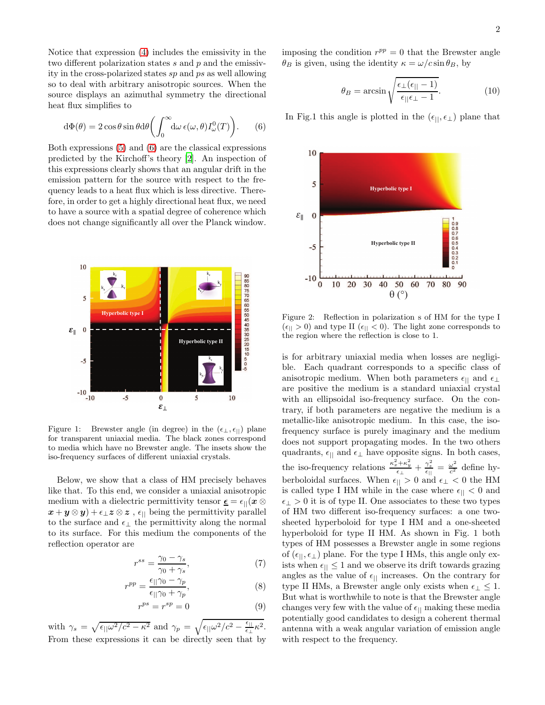Notice that expression [\(4\)](#page-0-0) includes the emissivity in the two different polarization states  $s$  and  $p$  and the emissivity in the cross-polarized states sp and ps as well allowing so to deal with arbitrary anisotropic sources. When the source displays an azimuthal symmetry the directional heat flux simplifies to

<span id="page-1-0"></span>
$$
d\Phi(\theta) = 2\cos\theta\sin\theta d\theta \left( \int_0^\infty d\omega \,\epsilon(\omega,\theta) I_\omega^0(T) \right). \tag{6}
$$

Both expressions [\(5\)](#page-0-1) and [\(6\)](#page-1-0) are the classical expressions predicted by the Kirchoff's theory [\[2\]](#page-3-2). An inspection of this expressions clearly shows that an angular drift in the emission pattern for the source with respect to the frequency leads to a heat flux which is less directive. Therefore, in order to get a highly directional heat flux, we need to have a source with a spatial degree of coherence which does not change significantly all over the Planck window.



Figure 1: Brewster angle (in degree) in the  $(\epsilon_{\perp}, \epsilon_{\parallel})$  plane for transparent uniaxial media. The black zones correspond to media which have no Brewster angle. The insets show the iso-frequency surfaces of different uniaxial crystals.

Below, we show that a class of HM precisely behaves like that. To this end, we consider a uniaxial anisotropic medium with a dielectric permittivity tensor  $\underline{\epsilon} = \epsilon_{||}(x \otimes$  $(\mathbf{x} + \mathbf{y} \otimes \mathbf{y}) + \epsilon_{\perp} \mathbf{z} \otimes \mathbf{z}$ ,  $\epsilon_{||}$  being the permittivity parallel to the surface and  $\epsilon_{\perp}$  the permittivity along the normal to its surface. For this medium the components of the reflection operator are

$$
r^{ss} = \frac{\gamma_0 - \gamma_s}{\gamma_0 + \gamma_s},\tag{7}
$$

$$
r^{pp} = \frac{\epsilon_{\parallel}\gamma_0 - \gamma_p}{\epsilon_{\parallel}\gamma_0 + \gamma_p},\tag{8}
$$

$$
r^{ps} = r^{sp} = 0 \tag{9}
$$

with  $\gamma_s = \sqrt{\epsilon_{||}\omega^2/c^2 - \kappa^2}$  and  $\gamma_p = \sqrt{\epsilon_{||}\omega^2/c^2 - \frac{\epsilon_{||}}{\epsilon_{||}}}$  $rac{\epsilon_{\perp}}{\epsilon_{\perp}}\kappa^2.$ From these expressions it can be directly seen that by

imposing the condition  $r^{pp} = 0$  that the Brewster angle  $\theta_B$  is given, using the identity  $\kappa = \omega/c \sin \theta_B$ , by

<span id="page-1-1"></span>
$$
\theta_B = \arcsin\sqrt{\frac{\epsilon_\perp(\epsilon_{||}-1)}{\epsilon_{||}\epsilon_\perp - 1}}.\tag{10}
$$

In Fig.1 this angle is plotted in the  $(\epsilon_{||},\epsilon_{\perp})$  plane that



Figure 2: Reflection in polarization s of HM for the type I  $(\epsilon_{\parallel} > 0)$  and type II  $(\epsilon_{\parallel} < 0)$ . The light zone corresponds to the region where the reflection is close to 1.

is for arbitrary uniaxial media when losses are negligible. Each quadrant corresponds to a specific class of anisotropic medium. When both parameters  $\epsilon_{||}$  and  $\epsilon_{\perp}$ are positive the medium is a standard uniaxial crystal with an ellipsoidal iso-frequency surface. On the contrary, if both parameters are negative the medium is a metallic-like anisotropic medium. In this case, the isofrequency surface is purely imaginary and the medium does not support propagating modes. In the two others quadrants,  $\epsilon_{\parallel}$  and  $\epsilon_{\perp}$  have opposite signs. In both cases, the iso-frequency relations  $\frac{\kappa_x^2 + \kappa_y^2}{\epsilon_{\perp}} + \frac{\gamma_z^2}{\epsilon_{\parallel}} = \frac{\omega^2}{c^2}$  $\frac{\omega}{c^2}$  define hyberboloidal surfaces. When  $\epsilon_{\parallel} > 0$  and  $\epsilon_{\perp} < 0$  the HM is called type I HM while in the case where  $\epsilon_{\parallel} < 0$  and  $\epsilon_{\perp} > 0$  it is of type II. One associates to these two types of HM two different iso-frequency surfaces: a one twosheeted hyperboloid for type I HM and a one-sheeted hyperboloid for type II HM. As shown in Fig. 1 both types of HM possesses a Brewster angle in some regions of  $(\epsilon_{||}, \epsilon_{\perp})$  plane. For the type I HMs, this angle only exists when  $\epsilon_{\parallel} \leq 1$  and we observe its drift towards grazing angles as the value of  $\epsilon_{\parallel}$  increases. On the contrary for type II HMs, a Brewster angle only exists when  $\epsilon_{\perp} \leq 1$ . But what is worthwhile to note is that the Brewster angle changes very few with the value of  $\epsilon_{\parallel}$  making these media potentially good candidates to design a coherent thermal antenna with a weak angular variation of emission angle with respect to the frequency.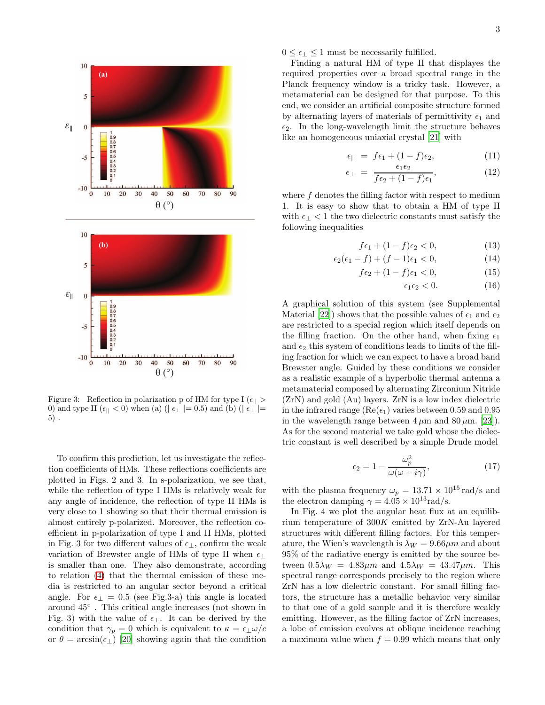

Figure 3: Reflection in polarization p of HM for type I  $(\epsilon_{||} >$ 0) and type II ( $\epsilon_{||}$  < 0) when (a) ( $\epsilon_{\perp}$  |= 0.5) and (b) ( $\epsilon_{\perp}$  |= 5) .

To confirm this prediction, let us investigate the reflection coefficients of HMs. These reflections coefficients are plotted in Figs. 2 and 3. In s-polarization, we see that, while the reflection of type I HMs is relatively weak for any angle of incidence, the reflection of type II HMs is very close to 1 showing so that their thermal emission is almost entirely p-polarized. Moreover, the reflection coefficient in p-polarization of type I and II HMs, plotted in Fig. 3 for two different values of  $\epsilon_{\perp}$ , confirm the weak variation of Brewster angle of HMs of type II when  $\epsilon_{\perp}$ is smaller than one. They also demonstrate, according to relation [\(4\)](#page-0-0) that the thermal emission of these media is restricted to an angular sector beyond a critical angle. For  $\epsilon_{\perp} = 0.5$  (see Fig.3-a) this angle is located around 45◦ . This critical angle increases (not shown in Fig. 3) with the value of  $\epsilon_{\perp}$ . It can be derived by the condition that  $\gamma_p = 0$  which is equivalent to  $\kappa = \epsilon_{\perp} \omega/c$ or  $\theta = \arcsin(\epsilon_{\perp})$  [\[20](#page-3-10)] showing again that the condition

 $0 \leq \epsilon_{\perp} \leq 1$  must be necessarily fulfilled.

Finding a natural HM of type II that displayes the required properties over a broad spectral range in the Planck frequency window is a tricky task. However, a metamaterial can be designed for that purpose. To this end, we consider an artificial composite structure formed by alternating layers of materials of permittivity  $\epsilon_1$  and  $\epsilon_2$ . In the long-wavelength limit the structure behaves like an homogeneous uniaxial crystal [\[21](#page-3-11)] with

$$
\epsilon_{||} = f\epsilon_1 + (1 - f)\epsilon_2, \tag{11}
$$

$$
\epsilon_{\perp} = \frac{\epsilon_1 \epsilon_2}{f \epsilon_2 + (1 - f)\epsilon_1},\tag{12}
$$

where  $f$  denotes the filling factor with respect to medium 1. It is easy to show that to obtain a HM of type II with  $\epsilon_{\perp}$  < 1 the two dielectric constants must satisfy the following inequalities

<span id="page-2-0"></span>
$$
f\epsilon_1 + (1 - f)\epsilon_2 < 0,\tag{13}
$$

$$
\epsilon_2(\epsilon_1 - f) + (f - 1)\epsilon_1 < 0,\tag{14}
$$

$$
f\epsilon_2 + (1-f)\epsilon_1 < 0,\tag{15}
$$

$$
\epsilon_1 \epsilon_2 < 0. \tag{16}
$$

A graphical solution of this system (see Supplemental Material [\[22\]](#page-3-12)) shows that the possible values of  $\epsilon_1$  and  $\epsilon_2$ are restricted to a special region which itself depends on the filling fraction. On the other hand, when fixing  $\epsilon_1$ and  $\epsilon_2$  this system of conditions leads to limits of the filling fraction for which we can expect to have a broad band Brewster angle. Guided by these conditions we consider as a realistic example of a hyperbolic thermal antenna a metamaterial composed by alternating Zirconium Nitride (ZrN) and gold (Au) layers. ZrN is a low index dielectric in the infrared range ( $\text{Re}(\epsilon_1)$  varies between 0.59 and 0.95 in the wavelength range between  $4 \mu m$  and  $80 \mu m$ . [\[23\]](#page-3-13)). As for the second material we take gold whose the dielectric constant is well described by a simple Drude model

$$
\epsilon_2 = 1 - \frac{\omega_p^2}{\omega(\omega + i\gamma)},\tag{17}
$$

with the plasma frequency  $\omega_p = 13.71 \times 10^{15}$  rad/s and the electron damping  $\gamma = 4.05 \times 10^{13} \text{rad/s}.$ 

In Fig. 4 we plot the angular heat flux at an equilibrium temperature of 300K emitted by ZrN-Au layered structures with different filling factors. For this temperature, the Wien's wavelength is  $\lambda_W = 9.66 \mu m$  and about 95% of the radiative energy is emitted by the source between  $0.5\lambda_W = 4.83 \mu m$  and  $4.5\lambda_W = 43.47 \mu m$ . This spectral range corresponds precisely to the region where ZrN has a low dielectric constant. For small filling factors, the structure has a metallic behavior very similar to that one of a gold sample and it is therefore weakly emitting. However, as the filling factor of ZrN increases, a lobe of emission evolves at oblique incidence reaching a maximum value when  $f = 0.99$  which means that only